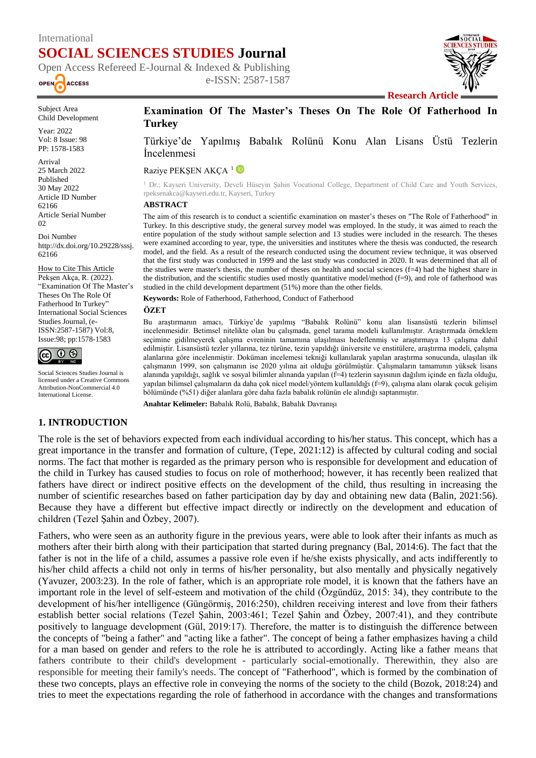# International **SOCIAL SCIENCES STUDIES Journal**

Open Access Refereed E-Journal & Indexed & Publishing e-ISSN: 2587-1587 OPEN **ACCESS** 



Subject Area Child Development

Year: 2022 Vol: 8 Issue: 98 PP: 1578-1583

Arrival 25 March 2022 Published 30 May 2022 Article ID Number 62166 Article Serial Number 02

Doi Number http://dx.doi.org/10.29228/sssj. 62166

How to Cite This Article Pekşen Akça, R. (2022). "Examination Of The Master's Theses On The Role Of Fatherhood In Turkey" International Social Sciences Studies Journal, (e-ISSN:2587-1587) Vol:8, Issue:98; pp:1578-1583



Social Sciences Studies Journal is licensed under a Creative Commons Attribution-NonCommercial 4.0 International License.

# **Examination Of The Master's Theses On The Role Of Fatherhood In Turkey**

Türkiye'de Yapılmış Babalık Rolünü Konu Alan Lisans Üstü Tezlerin İncelenmesi

Raziye PEKSEN AKCA<sup>1</sup>

<sup>1</sup> Dr.; Kayseri University, Develi Hüseyin Şahin Vocational College, Department of Child Care and Youth Services, rpeksenakca@kayseri.edu.tr, Kayseri, Turkey

#### **ABSTRACT**

The aim of this research is to conduct a scientific examination on master's theses on "The Role of Fatherhood" in Turkey. In this descriptive study, the general survey model was employed. In the study, it was aimed to reach the entire population of the study without sample selection and 13 studies were included in the research. The theses were examined according to year, type, the universities and institutes where the thesis was conducted, the research model, and the field. As a result of the research conducted using the document review technique, it was observed that the first study was conducted in 1999 and the last study was conducted in 2020. It was determined that all of the studies were master's thesis, the number of theses on health and social sciences (f=4) had the highest share in the distribution, and the scientific studies used mostly quantitative model/method (f=9), and role of fatherhood was studied in the child development department (51%) more than the other fields.

**Keywords:** Role of Fatherhood, Fatherhood, Conduct of Fatherhood

#### **ÖZET**

Bu araştırmanın amacı, Türkiye'de yapılmış "Babalık Rolünü" konu alan lisansüstü tezlerin bilimsel incelenmesidir. Betimsel nitelikte olan bu çalışmada, genel tarama modeli kullanılmıştır. Araştırmada örneklem seçimine gidilmeyerek çalışma evreninin tamamına ulaşılması hedeflenmiş ve araştırmaya 13 çalışma dahil edilmiştir. Lisansüstü tezler yıllarına, tez türüne, tezin yapıldığı üniversite ve enstitülere, araştırma modeli, çalışma alanlarına göre incelenmiştir. Doküman incelemesi tekniği kullanılarak yapılan araştırma sonucunda, ulaşılan ilk çalışmanın 1999, son çalışmanın ise 2020 yılına ait olduğu görülmüştür. Çalışmaların tamamının yüksek lisans alanında yapıldığı, sağlık ve sosyal bilimler alınanda yapılan (f=4) tezlerin sayısının dağılım içinde en fazla olduğu, yapılan bilimsel çalışmaların da daha çok nicel model/yöntem kullanıldığı (f=9), çalışma alanı olarak çocuk gelişim bölümünde (%51) diğer alanlara göre daha fazla babalık rolünün ele alındığı saptanmıştır.

**Anahtar Kelimeler:** Babalık Rolü, Babalık, Babalık Davranışı

### **1. INTRODUCTION**

The role is the set of behaviors expected from each individual according to his/her status. This concept, which has a great importance in the transfer and formation of culture, (Tepe, 2021:12) is affected by cultural coding and social norms. The fact that mother is regarded as the primary person who is responsible for development and education of the child in Turkey has caused studies to focus on role of motherhood; however, it has recently been realized that fathers have direct or indirect positive effects on the development of the child, thus resulting in increasing the number of scientific researches based on father participation day by day and obtaining new data (Balin, 2021:56). Because they have a different but effective impact directly or indirectly on the development and education of children (Tezel Şahin and Özbey, 2007).

Fathers, who were seen as an authority figure in the previous years, were able to look after their infants as much as mothers after their birth along with their participation that started during pregnancy (Bal, 2014:6). The fact that the father is not in the life of a child, assumes a passive role even if he/she exists physically, and acts indifferently to his/her child affects a child not only in terms of his/her personality, but also mentally and physically negatively (Yavuzer, 2003:23). In the role of father, which is an appropriate role model, it is known that the fathers have an important role in the level of self-esteem and motivation of the child (Özgündüz, 2015: 34), they contribute to the development of his/her intelligence (Güngörmiş, 2016:250), children receiving interest and love from their fathers establish better social relations (Tezel Şahin, 2003:461; Tezel Şahin and Özbey, 2007:41), and they contribute positively to language development (Gül, 2019:17). Therefore, the matter is to distinguish the difference between the concepts of "being a father" and "acting like a father". The concept of being a father emphasizes having a child for a man based on gender and refers to the role he is attributed to accordingly. Acting like a father means that fathers contribute to their child's development - particularly social-emotionally. Therewithin, they also are responsible for meeting their family's needs. The concept of "Fatherhood", which is formed by the combination of these two concepts, plays an effective role in conveying the norms of the society to the child (Bozok, 2018:24) and tries to meet the expectations regarding the role of fatherhood in accordance with the changes and transformations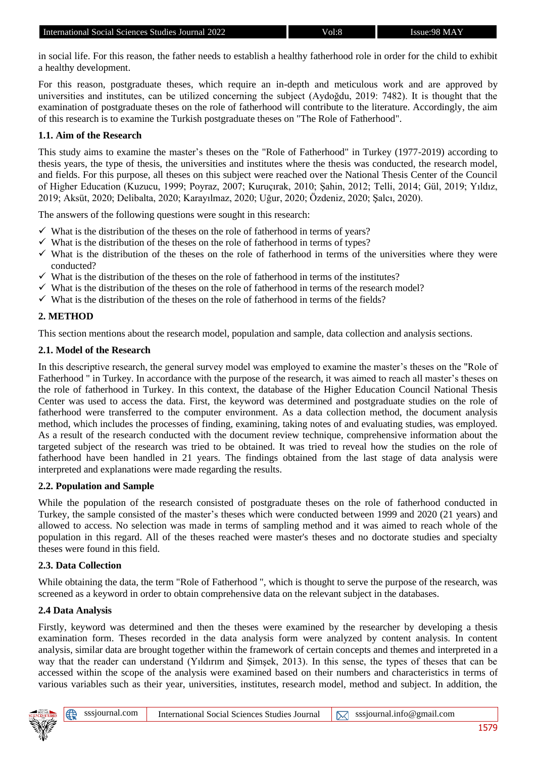in social life. For this reason, the father needs to establish a healthy fatherhood role in order for the child to exhibit a healthy development.

For this reason, postgraduate theses, which require an in-depth and meticulous work and are approved by universities and institutes, can be utilized concerning the subject (Aydoğdu, 2019: 7482). It is thought that the examination of postgraduate theses on the role of fatherhood will contribute to the literature. Accordingly, the aim of this research is to examine the Turkish postgraduate theses on "The Role of Fatherhood".

#### **1.1. Aim of the Research**

This study aims to examine the master's theses on the "Role of Fatherhood" in Turkey (1977-2019) according to thesis years, the type of thesis, the universities and institutes where the thesis was conducted, the research model, and fields. For this purpose, all theses on this subject were reached over the National Thesis Center of the Council of Higher Education (Kuzucu, 1999; Poyraz, 2007; Kuruçırak, 2010; Şahin, 2012; Telli, 2014; Gül, 2019; Yıldız, 2019; Aksüt, 2020; Delibalta, 2020; Karayılmaz, 2020; Uğur, 2020; Özdeniz, 2020; Şalcı, 2020).

The answers of the following questions were sought in this research:

- $\checkmark$  What is the distribution of the theses on the role of fatherhood in terms of years?
- ✓ What is the distribution of the theses on the role of fatherhood in terms of types?
- $\checkmark$  What is the distribution of the theses on the role of fatherhood in terms of the universities where they were conducted?
- $\checkmark$  What is the distribution of the theses on the role of fatherhood in terms of the institutes?
- $\checkmark$  What is the distribution of the theses on the role of fatherhood in terms of the research model?
- $\checkmark$  What is the distribution of the theses on the role of fatherhood in terms of the fields?

### **2. METHOD**

This section mentions about the research model, population and sample, data collection and analysis sections.

#### **2.1. Model of the Research**

In this descriptive research, the general survey model was employed to examine the master's theses on the "Role of Fatherhood " in Turkey. In accordance with the purpose of the research, it was aimed to reach all master's theses on the role of fatherhood in Turkey. In this context, the database of the Higher Education Council National Thesis Center was used to access the data. First, the keyword was determined and postgraduate studies on the role of fatherhood were transferred to the computer environment. As a data collection method, the document analysis method, which includes the processes of finding, examining, taking notes of and evaluating studies, was employed. As a result of the research conducted with the document review technique, comprehensive information about the targeted subject of the research was tried to be obtained. It was tried to reveal how the studies on the role of fatherhood have been handled in 21 years. The findings obtained from the last stage of data analysis were interpreted and explanations were made regarding the results.

### **2.2. Population and Sample**

While the population of the research consisted of postgraduate theses on the role of fatherhood conducted in Turkey, the sample consisted of the master's theses which were conducted between 1999 and 2020 (21 years) and allowed to access. No selection was made in terms of sampling method and it was aimed to reach whole of the population in this regard. All of the theses reached were master's theses and no doctorate studies and specialty theses were found in this field.

### **2.3. Data Collection**

While obtaining the data, the term "Role of Fatherhood ", which is thought to serve the purpose of the research, was screened as a keyword in order to obtain comprehensive data on the relevant subject in the databases.

### **2.4 Data Analysis**

Firstly, keyword was determined and then the theses were examined by the researcher by developing a thesis examination form. Theses recorded in the data analysis form were analyzed by content analysis. In content analysis, similar data are brought together within the framework of certain concepts and themes and interpreted in a way that the reader can understand (Yıldırım and Şimşek, 2013). In this sense, the types of theses that can be accessed within the scope of the analysis were examined based on their numbers and characteristics in terms of various variables such as their year, universities, institutes, research model, method and subject. In addition, the

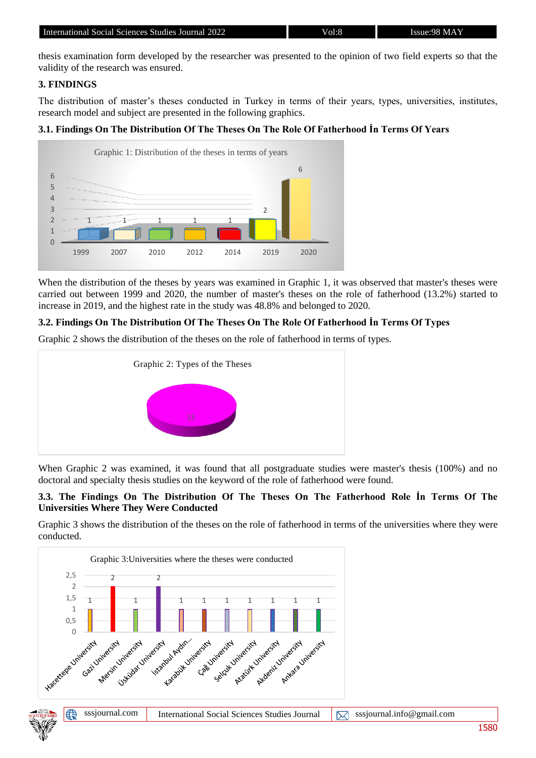thesis examination form developed by the researcher was presented to the opinion of two field experts so that the validity of the research was ensured.

### **3. FINDINGS**

The distribution of master's theses conducted in Turkey in terms of their years, types, universities, institutes, research model and subject are presented in the following graphics.

## **3.1. Findings On The Distribution Of The Theses On The Role Of Fatherhood İn Terms Of Years**



When the distribution of the theses by years was examined in Graphic 1, it was observed that master's theses were carried out between 1999 and 2020, the number of master's theses on the role of fatherhood (13.2%) started to increase in 2019, and the highest rate in the study was 48.8% and belonged to 2020.

### **3.2. Findings On The Distribution Of The Theses On The Role Of Fatherhood İn Terms Of Types**

Graphic 2 shows the distribution of the theses on the role of fatherhood in terms of types.



When Graphic 2 was examined, it was found that all postgraduate studies were master's thesis (100%) and no doctoral and specialty thesis studies on the keyword of the role of fatherhood were found.

#### **3.3. The Findings On The Distribution Of The Theses On The Fatherhood Role İn Terms Of The Universities Where They Were Conducted**

Graphic 3 shows the distribution of the theses on the role of fatherhood in terms of the universities where they were conducted.

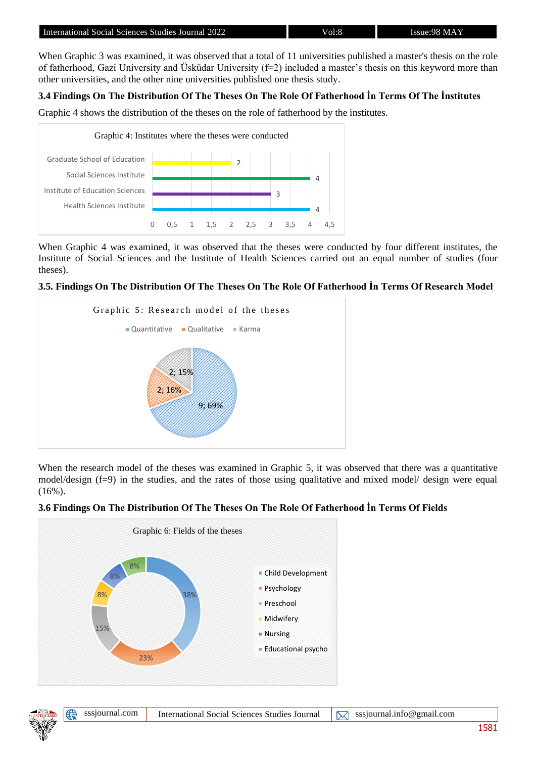When Graphic 3 was examined, it was observed that a total of 11 universities published a master's thesis on the role of fatherhood, Gazi University and Üsküdar University  $(f=2)$  included a master's thesis on this keyword more than other universities, and the other nine universities published one thesis study.

## **3.4 Findings On The Distribution Of The Theses On The Role Of Fatherhood İn Terms Of The İnstitutes**

Graphic 4 shows the distribution of the theses on the role of fatherhood by the institutes.



When Graphic 4 was examined, it was observed that the theses were conducted by four different institutes, the Institute of Social Sciences and the Institute of Health Sciences carried out an equal number of studies (four theses).

### **3.5. Findings On The Distribution Of The Theses On The Role Of Fatherhood İn Terms Of Research Model**



When the research model of the theses was examined in Graphic 5, it was observed that there was a quantitative model/design (f=9) in the studies, and the rates of those using qualitative and mixed model/ design were equal  $(16\%)$ .

## **3.6 Findings On The Distribution Of The Theses On The Role Of Fatherhood İn Terms Of Fields**



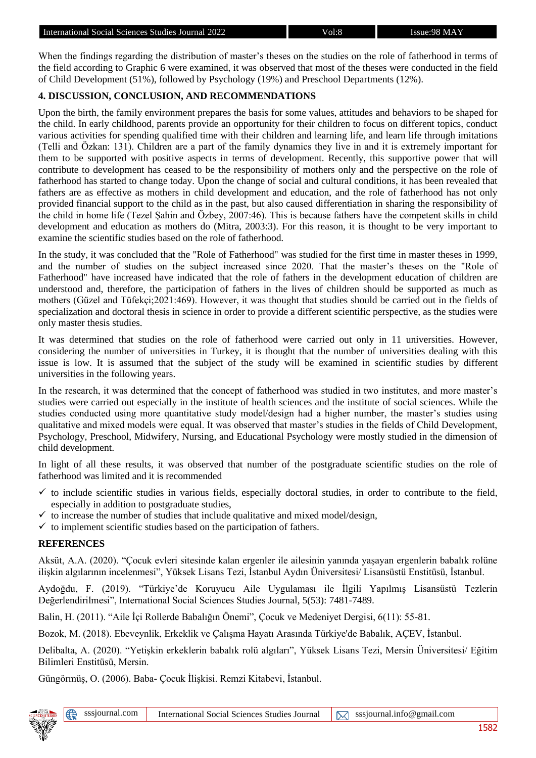When the findings regarding the distribution of master's theses on the studies on the role of fatherhood in terms of the field according to Graphic 6 were examined, it was observed that most of the theses were conducted in the field of Child Development (51%), followed by Psychology (19%) and Preschool Departments (12%).

## **4. DISCUSSION, CONCLUSION, AND RECOMMENDATIONS**

Upon the birth, the family environment prepares the basis for some values, attitudes and behaviors to be shaped for the child. In early childhood, parents provide an opportunity for their children to focus on different topics, conduct various activities for spending qualified time with their children and learning life, and learn life through imitations (Telli and Özkan: 131). Children are a part of the family dynamics they live in and it is extremely important for them to be supported with positive aspects in terms of development. Recently, this supportive power that will contribute to development has ceased to be the responsibility of mothers only and the perspective on the role of fatherhood has started to change today. Upon the change of social and cultural conditions, it has been revealed that fathers are as effective as mothers in child development and education, and the role of fatherhood has not only provided financial support to the child as in the past, but also caused differentiation in sharing the responsibility of the child in home life (Tezel Şahin and Özbey, 2007:46). This is because fathers have the competent skills in child development and education as mothers do (Mitra, 2003:3). For this reason, it is thought to be very important to examine the scientific studies based on the role of fatherhood.

In the study, it was concluded that the "Role of Fatherhood" was studied for the first time in master theses in 1999, and the number of studies on the subject increased since 2020. That the master's theses on the "Role of Fatherhood" have increased have indicated that the role of fathers in the development education of children are understood and, therefore, the participation of fathers in the lives of children should be supported as much as mothers (Güzel and Tüfekçi;2021:469). However, it was thought that studies should be carried out in the fields of specialization and doctoral thesis in science in order to provide a different scientific perspective, as the studies were only master thesis studies.

It was determined that studies on the role of fatherhood were carried out only in 11 universities. However, considering the number of universities in Turkey, it is thought that the number of universities dealing with this issue is low. It is assumed that the subject of the study will be examined in scientific studies by different universities in the following years.

In the research, it was determined that the concept of fatherhood was studied in two institutes, and more master's studies were carried out especially in the institute of health sciences and the institute of social sciences. While the studies conducted using more quantitative study model/design had a higher number, the master's studies using qualitative and mixed models were equal. It was observed that master's studies in the fields of Child Development, Psychology, Preschool, Midwifery, Nursing, and Educational Psychology were mostly studied in the dimension of child development.

In light of all these results, it was observed that number of the postgraduate scientific studies on the role of fatherhood was limited and it is recommended

- to include scientific studies in various fields, especially doctoral studies, in order to contribute to the field, especially in addition to postgraduate studies,
- to increase the number of studies that include qualitative and mixed model/design,
- $\checkmark$  to implement scientific studies based on the participation of fathers.

## **REFERENCES**

Aksüt, A.A. (2020). "Çocuk evleri sitesinde kalan ergenler ile ailesinin yanında yaşayan ergenlerin babalık rolüne ilişkin algılarının incelenmesi", Yüksek Lisans Tezi, İstanbul Aydın Üniversitesi/ Lisansüstü Enstitüsü, İstanbul.

Aydoğdu, F. (2019). "Türkiye'de Koruyucu Aile Uygulaması ile İlgili Yapılmış Lisansüstü Tezlerin Değerlendirilmesi", International Social Sciences Studies Journal, 5(53): 7481-7489.

Balin, H. (2011). "Aile İçi Rollerde Babalığın Önemi", Çocuk ve Medeniyet Dergisi, 6(11): 55-81.

Bozok, M. (2018). Ebeveynlik, Erkeklik ve Çalışma Hayatı Arasında Türkiye'de Babalık, AÇEV, İstanbul.

Delibalta, A. (2020). "Yetişkin erkeklerin babalık rolü algıları", Yüksek Lisans Tezi, Mersin Üniversitesi/ Eğitim Bilimleri Enstitüsü, Mersin.

Güngörmüş, O. (2006). Baba- Çocuk İlişkisi. Remzi Kitabevi, İstanbul.